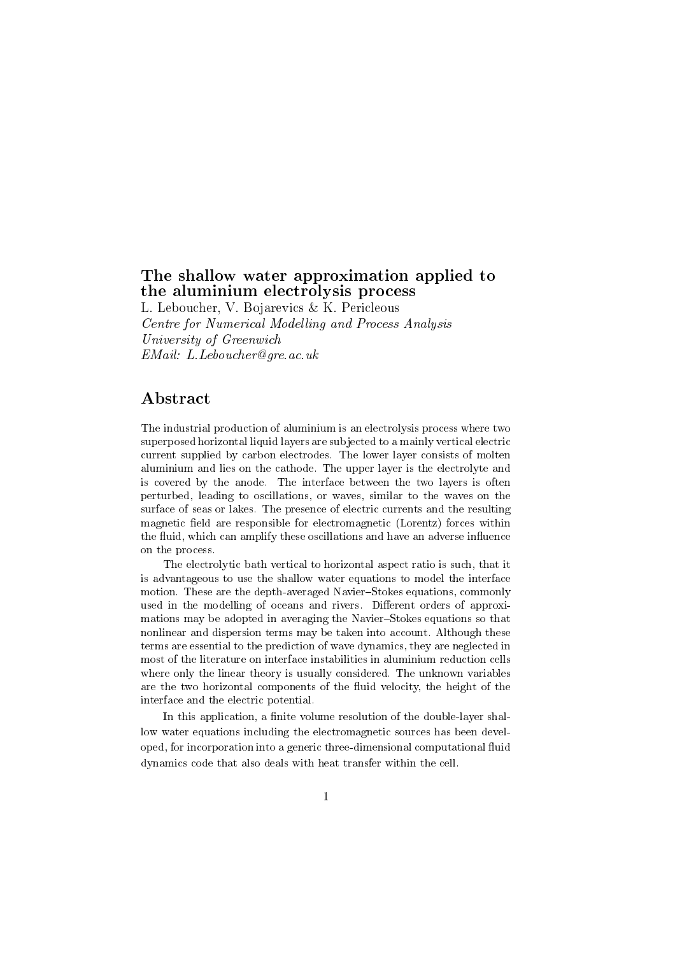# The shallow water approximation applied to the aluminium electrolysis process

L. Leboucher, V. Bojarevics & K. Pericleous Centre for Numerical Modelling and Process Analysis University of Greenwich EMail: L.Leboucher@gre.ac.uk

### Abstract

The industrial production of aluminium is an electrolysis process where two superposed horizontal liquid layers are sub jected to a mainly vertical electric current supplied by carbon electrodes. The lower layer consists of molten aluminium and lies on the cathode. The upper layer is the electrolyte and is covered by the anode. The interface between the two layers is often perturbed, leading to oscillations, or waves, similar to the waves on the surface of seas or lakes. The presence of electric currents and the resulting magnetic field are responsible for electromagnetic (Lorentz) forces within the fluid, which can amplify these oscillations and have an adverse influence on the process.

The electrolytic bath vertical to horizontal aspect ratio is such, that it is advantageous to use the shallow water equations to model the interface motion. These are the depth-averaged Navier-Stokes equations, commonly used in the modelling of oceans and rivers. Different orders of approximations may be adopted in averaging the Navier-Stokes equations so that nonlinear and dispersion terms may be taken into account. Although these terms are essential to the prediction of wave dynamics, they are neglected in most of the literature on interface instabilities in aluminium reduction cells where only the linear theory is usually considered. The unknown variables are the two horizontal components of the fluid velocity, the height of the interface and the electric potential.

In this application, a finite volume resolution of the double-layer shallow water equations including the electromagnetic sources has been developed, for incorporation into a generic three-dimensional computational 
uid dynamics code that also deals with heat transfer within the cell.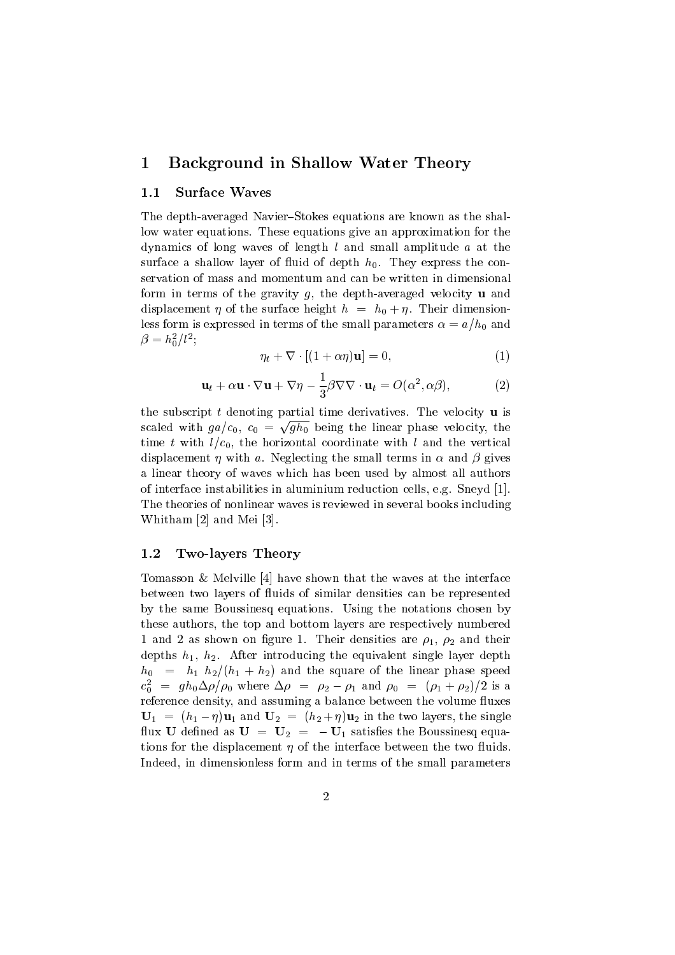#### 1 Background in Shallow Water Theory

#### 1.1Surface Waves

The depth-averaged Navier-Stokes equations are known as the shallow water equations. These equations give an approximation for the dynamics of long waves of length <sup>l</sup> and small amplitude <sup>a</sup> at the surface a shallow layer of fluid of depth  $h_0$ . They express the conservation of mass and momentum and can be written in dimensional form in terms of the gravity  $g$ , the depth-averaged velocity **u** and displacement  $\eta$  of the surface height  $h = h_0 + \eta$ . Their dimensionless form is expressed in terms of the small parameters  $\alpha = a/h_0$  and  $\rho = n_{\bar{0}}/l^{-};$ 

$$
\eta_t + \nabla \cdot [(1 + \alpha \eta) \mathbf{u}] = 0,\tag{1}
$$

$$
\mathbf{u}_t + \alpha \mathbf{u} \cdot \nabla \mathbf{u} + \nabla \eta - \frac{1}{3} \beta \nabla \nabla \cdot \mathbf{u}_t = O(\alpha^2, \alpha \beta), \tag{2}
$$

the subscript  $t$  denoting partial time derivatives. The velocity  $\bf{u}$  is scaled with  $ga/c_0$ ,  $c_0 = \sqrt{gh_0}$  being the linear phase velocity, the time t with  $l/c_0$ , the horizontal coordinate with l and the vertical displacement *n* with a. Neglecting the small terms in  $\alpha$  and  $\beta$  gives a linear theory of waves which has been used by almost all authors of interface instabilities in aluminium reduction cells, e.g. Sneyd [1]. The theories of nonlinear waves is reviewed in several books including Whitham [2] and Mei [3].

#### 1.2Two-layers Theory

Tomasson & Melville [4] have shown that the waves at the interface between two layers of fluids of similar densities can be represented by the same Boussinesq equations. Using the notations chosen by these authors, the top and bottom layers are respectively numbered 1 and 2 as shown on figure 1. Their densities are  $\rho_1$ ,  $\rho_2$  and their depths  $h_1$ ,  $h_2$ . After introducing the equivalent single layer depth  $h_0 = h_1 h_2/(h_1 + h_2)$  and the square of the linear phase speed  $c_0^{\dagger} = g n_0 \Delta \rho / \rho_0$  where  $\Delta \rho = \rho_2 - \rho_1$  and  $\rho_0 = (\rho_1 + \rho_2)/2$  is a reference density, and assuming a balance between the volume fluxes  **and**  $**U**<sub>2</sub> = (h<sub>2</sub> + \eta)**u**<sub>2</sub>$  **in the two layers, the single** flux U defined as  $U = U_2 = -U_1$  satisfies the Boussinesq equations for the displacement  $\eta$  of the interface between the two fluids. Indeed, in dimensionless form and in terms of the small parameters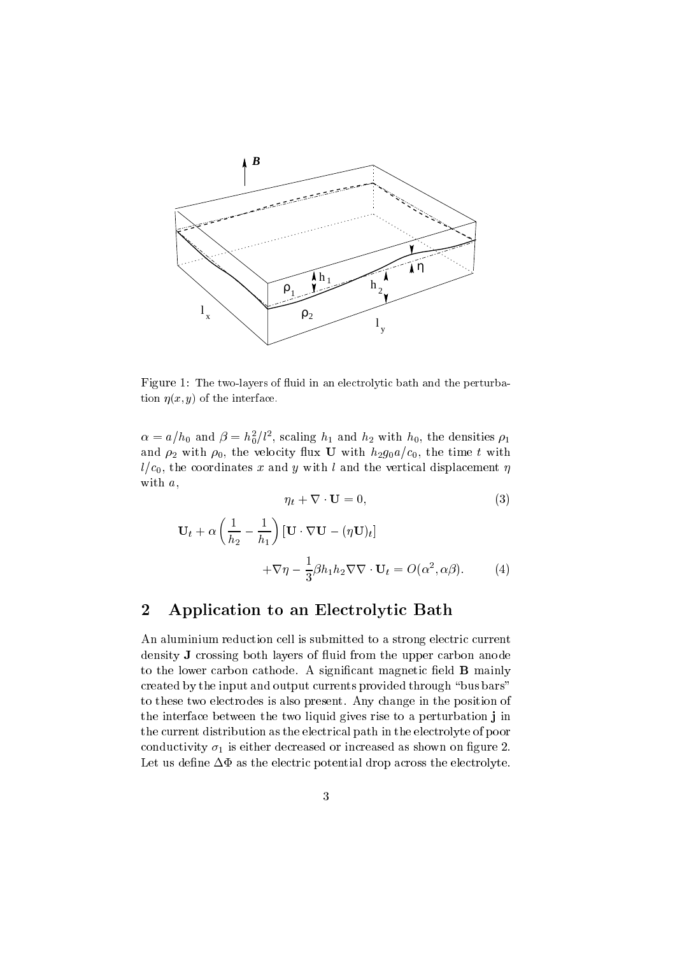

Figure 1: The two-layers of fluid in an electrolytic bath and the perturbation  $\eta(x, y)$  of the interface.

 $\alpha = a/n_0$  and  $\rho = n_0^2 / t^2$ , scaling  $n_1$  and  $n_2$  with  $n_0$ , the densities  $\rho_1$ and  $\rho_2$  with  $\rho_0$ , the velocity flux **U** with  $h_2g_0a/c_0$ , the time t with  $l/c_0$ , the coordinates x and y with l and the vertical displacement  $\eta$ with a,

$$
\eta_t + \nabla \cdot \mathbf{U} = 0,\tag{3}
$$

$$
\mathbf{U}_{t} + \alpha \left( \frac{1}{h_{2}} - \frac{1}{h_{1}} \right) [\mathbf{U} \cdot \nabla \mathbf{U} - (\eta \mathbf{U})_{t}]
$$

$$
+ \nabla \eta - \frac{1}{3} \beta h_{1} h_{2} \nabla \nabla \cdot \mathbf{U}_{t} = O(\alpha^{2}, \alpha \beta). \tag{4}
$$

# 2 Application to an Electrolytic Bath

An aluminium reduction cell is submitted to a strong electric current density **J** crossing both layers of fluid from the upper carbon anode to the lower carbon cathode. A significant magnetic field  $\bf{B}$  mainly created by the input and output currents provided through "bus bars" to these two electrodes is also present. Any change in the position of the interface between the two liquid gives rise to a perturbation <sup>j</sup> in the current distribution as the electrical path in the electrolyte of poor conductivity  $\sigma_1$  is either decreased or increased as shown on figure 2. Let us define  $\Delta \Phi$  as the electric potential drop across the electrolyte.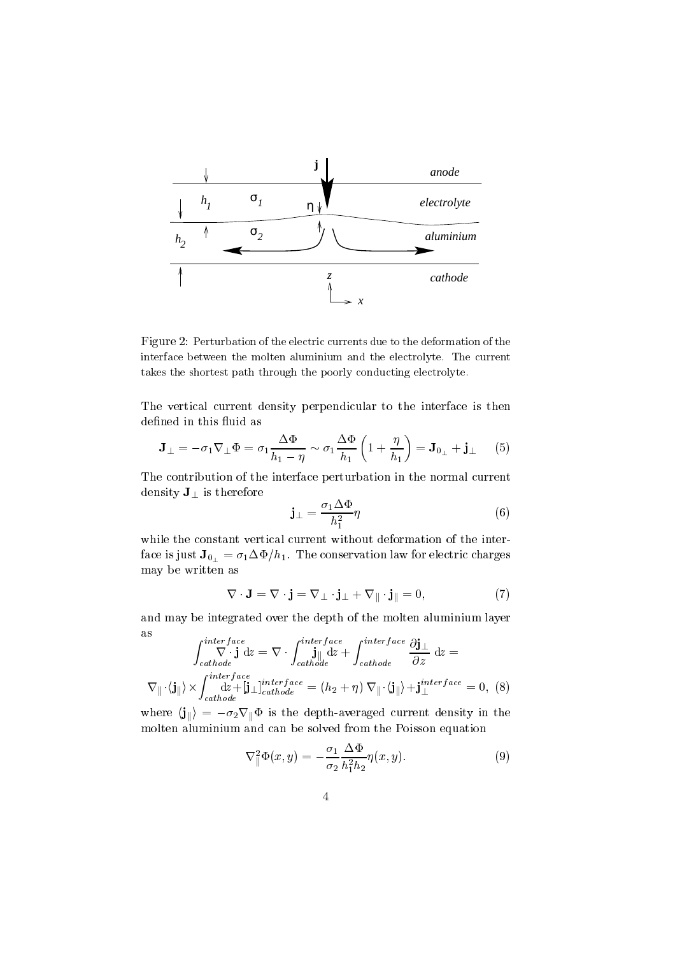

Figure 2: Perturbation of the electric currents due to the deformation of the interface between the molten aluminium and the electrolyte. The current takes the shortest path through the poorly conducting electrolyte.

The vertical current density perpendicular to the interface is then defined in this fluid as

$$
\mathbf{J}_{\perp} = -\sigma_1 \nabla_{\perp} \Phi = \sigma_1 \frac{\Delta \Phi}{h_1 - \eta} \sim \sigma_1 \frac{\Delta \Phi}{h_1} \left( 1 + \frac{\eta}{h_1} \right) = \mathbf{J}_{0\perp} + \mathbf{j}_{\perp} \tag{5}
$$

The contribution of the interface perturbation in the normal current density  $J_{\perp}$  is therefore

$$
\mathbf{j}_{\perp} = \frac{\sigma_1 \Delta \Phi}{h_1^2} \eta \tag{6}
$$

while the constant vertical current without deformation of the interface is just  $J_{0_{\perp}} = \sigma_1 \Delta \Phi / h_1$ . The conservation law for electric charges may be written as

$$
\nabla \cdot \mathbf{J} = \nabla \cdot \mathbf{j} = \nabla_{\perp} \cdot \mathbf{j}_{\perp} + \nabla_{\parallel} \cdot \mathbf{j}_{\parallel} = 0, \tag{7}
$$

and may be integrated over the depth of the molten aluminium layer as

$$
\int_{cathode}^{interface} \nabla \cdot \mathbf{j} \, \mathrm{d}z = \nabla \cdot \int_{cathode}^{interface} \mathbf{j}_{\parallel} \, \mathrm{d}z + \int_{cathode}^{interface} \frac{\partial \mathbf{j}_{\perp}}{\partial z} \, \mathrm{d}z =
$$
\n
$$
\nabla_{\parallel} \cdot \langle \mathbf{j}_{\parallel} \rangle \times \int_{cathode}^{interface} \mathbf{j}_{\perp} \perp^{interface} = (h_2 + \eta) \, \nabla_{\parallel} \cdot \langle \mathbf{j}_{\parallel} \rangle + \mathbf{j}_{\perp}^{interface} = 0, \tag{8}
$$

where  $\langle \mathbf{j}_{\parallel} \rangle = -\sigma_2 \nabla_{\parallel} \Phi$  is the depth-averaged current density in the molten aluminium and can be solved from the Poisson equation

$$
\nabla_{\parallel}^2 \Phi(x, y) = -\frac{\sigma_1}{\sigma_2} \frac{\Delta \Phi}{h_1^2 h_2} \eta(x, y). \tag{9}
$$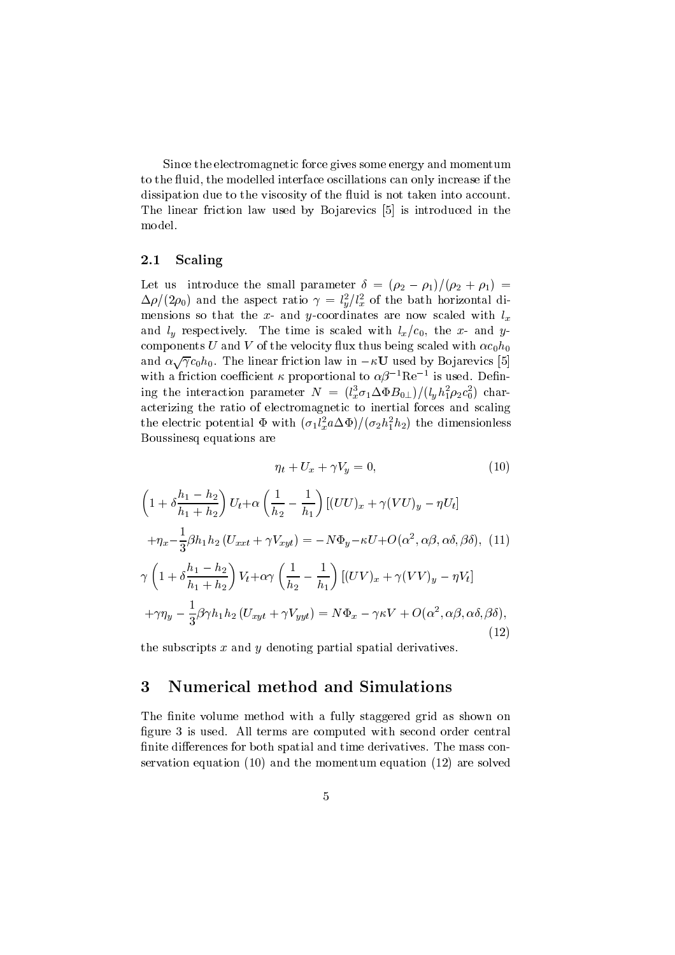Since the electromagnetic force gives some energy and momentum to the fluid, the modelled interface oscillations can only increase if the dissipation due to the viscosity of the fluid is not taken into account. The linear friction law used by Bojarevics [5] is introduced in the model.

#### 2.1Scaling

Let us introduce the small parameter  $\delta = (\rho_2 - \rho_1)/(\rho_2 + \rho_1)$  =  $\Delta\rho/(2\rho_0)$  and the aspect ratio  $\gamma = l_u^2/l_x^2$  of the bath horizontal dimensions so that the x- and y-coordinates are now scaled with  $l_x$ and  $l_y$  respectively. The time is scaled with  $l_x/c_0$ , the x- and ycomponents U and V of the velocity flux thus being scaled with  $\alpha c_0 h_0$ and  $\alpha \sqrt{\gamma} c_0 h_0$ . The linear friction law in  $-\kappa \mathbf{U}$  used by Bojarevics [5] with a friction coefficient  $\kappa$  proportional to  $\alpha$ p  $^+$ Ke  $^-$  is used. Defining the interaction parameter  $N = (i_x \sigma_1 \Delta \Psi D_0) / (i_y n_1 p_2 c_0^2)$  char- $0$  / character  $\sim$ acterizing the ratio of electromagnetic to intertification for  $\alpha$  in  $\alpha$ the electric potential  $\Psi$  with  $(\sigma_1 \iota_x^T a \Delta \Psi)/(\sigma_2 n_1^T n_2)$  the dimensionless Boussinesq equations are

$$
\eta_t + U_x + \gamma V_y = 0,\t\t(10)
$$

$$
\left(1+\delta\frac{h_1-h_2}{h_1+h_2}\right)U_t+\alpha\left(\frac{1}{h_2}-\frac{1}{h_1}\right)[(UU)_x+\gamma(VU)_y-\eta U_t]
$$
  
+
$$
\eta_x-\frac{1}{3}\beta h_1h_2(U_{xxt}+\gamma V_{xyt})=-N\Phi_y-\kappa U+O(\alpha^2,\alpha\beta,\alpha\delta,\beta\delta), (11)
$$
  

$$
\gamma\left(1+\delta\frac{h_1-h_2}{h_1+h_2}\right)V_t+\alpha\gamma\left(\frac{1}{h_2}-\frac{1}{h_1}\right)[(UV)_x+\gamma(VV)_y-\eta V_t]
$$
  
+
$$
\gamma\eta_y-\frac{1}{3}\beta\gamma h_1h_2(U_{xyt}+\gamma V_{yyt})=N\Phi_x-\gamma\kappa V+O(\alpha^2,\alpha\beta,\alpha\delta,\beta\delta),
$$
\n(12)

the subscripts  $x$  and  $y$  denoting partial spatial derivatives.

### 3 Numerical method and Simulations

The finite volume method with a fully staggered grid as shown on figure 3 is used. All terms are computed with second order central finite differences for both spatial and time derivatives. The mass conservation equation (10) and the momentum equation (12) are solved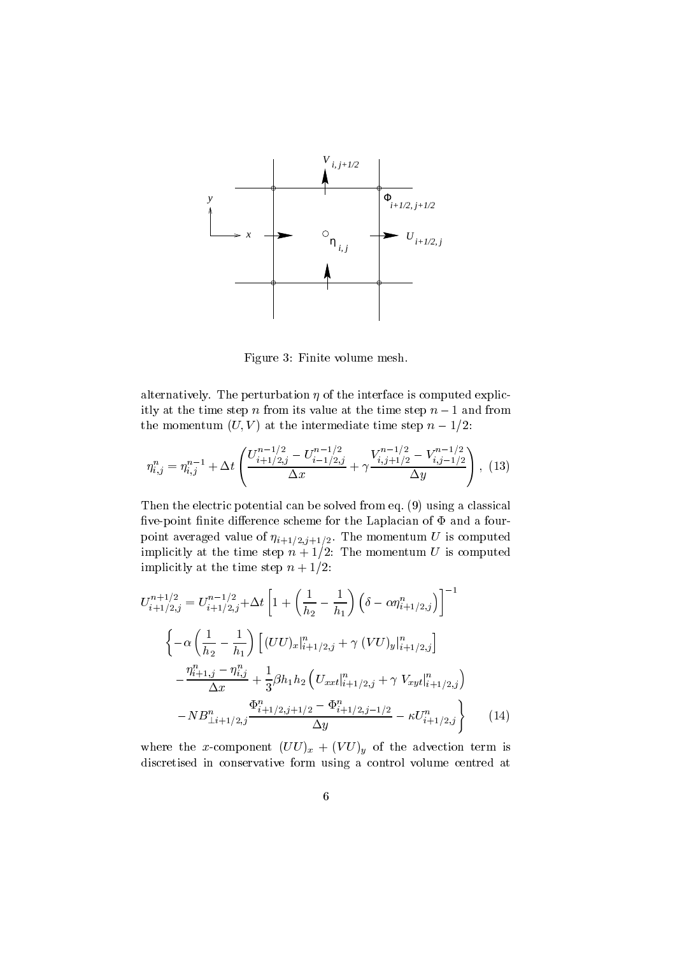

Figure 3: Finite volume mesh.

alternatively. The perturbation  $\eta$  of the interface is computed explicitly at the time step n from its value at the time step  $n-1$  and from the momentum  $(U, V)$  at the intermediate time step  $n-1/2$ :

$$
\eta_{i,j}^{n} = \eta_{i,j}^{n-1} + \Delta t \left( \frac{U_{i+1/2,j}^{n-1/2} - U_{i-1/2,j}^{n-1/2}}{\Delta x} + \gamma \frac{V_{i,j+1/2}^{n-1/2} - V_{i,j-1/2}^{n-1/2}}{\Delta y} \right), \tag{13}
$$

Then the electric potential can be solved from eq. (9) using a classical five-point finite difference scheme for the Laplacian of  $\Phi$  and a fourpoint averaged value of  $\mu+1/2$ ; the momentum uses  $\sim$  is computed to  $\sim$ implicitly at the time step <sup>n</sup> + 1=2: The momentum <sup>U</sup> is computed implicitly at the time step  $n + 1/2$ :

$$
U_{i+1/2,j}^{n+1/2} = U_{i+1/2,j}^{n-1/2} + \Delta t \left[ 1 + \left( \frac{1}{h_2} - \frac{1}{h_1} \right) \left( \delta - \alpha \eta_{i+1/2,j}^n \right) \right]^{-1}
$$
  

$$
\left\{ -\alpha \left( \frac{1}{h_2} - \frac{1}{h_1} \right) \left[ (UU)_x|_{i+1/2,j}^n + \gamma (VU)_y|_{i+1/2,j}^n \right] - \frac{\eta_{i+1,j}^n - \eta_{i,j}^n}{\Delta x} + \frac{1}{3} \beta h_1 h_2 \left( U_{xxt}|_{i+1/2,j}^n + \gamma V_{xyt}|_{i+1/2,j}^n \right) - N B_{\perp i+1/2,j}^n \frac{\Phi_{i+1/2,j+1/2}^n - \Phi_{i+1/2,j-1/2}^n}{\Delta y} - \kappa U_{i+1/2,j}^n \right\} \qquad (14)
$$

where the x-component  $(UU)_x + (VU)_y$  of the advection term is discretised in conservative form using a control volume centred at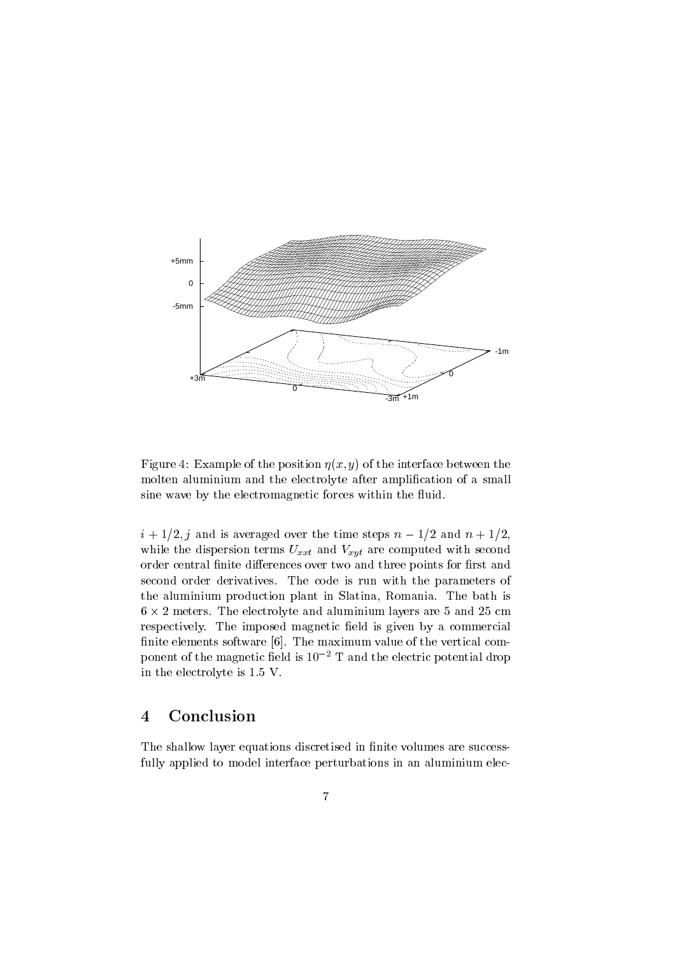

Figure 4: Example of the position  $\eta(x, y)$  of the interface between the molten aluminium and the electrolyte after amplification of a small sine wave by the electromagnetic forces within the fluid.

 $i + 1/2$ , j and is averaged over the time steps  $n - 1/2$  and  $n + 1/2$ , while the dispersion terms  $U_{xxt}$  and  $V_{xyt}$  are computed with second order central finite differences over two and three points for first and second order derivatives. The code is run with the parameters of the aluminium production plant in Slatina, Romania. The bath is 6 - 2 meters. The electrolyte and aluminium layers are 5 and 25 cm respectively. The imposed magnetic field is given by a commercial finite elements software [6]. The maximum value of the vertical component of the magnetic field is  $10^{-2}$  T and the electric potential drop in the electrolyte is 1.5 V.

# 4 Conclusion

The shallow layer equations discretised in finite volumes are successfully applied to model interface perturbations in an aluminium elec